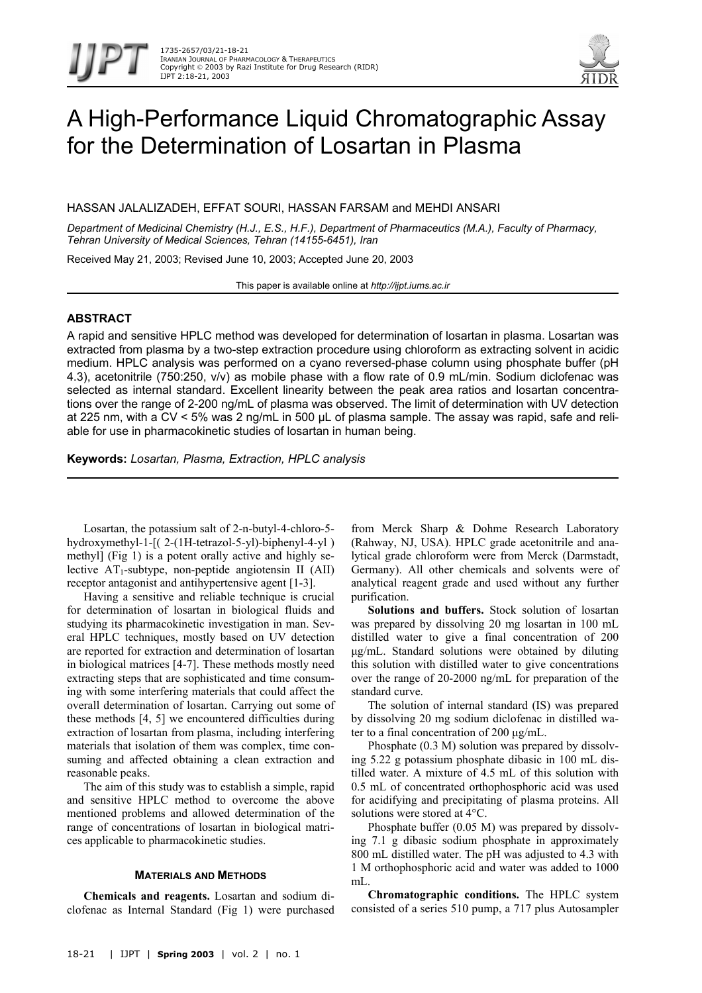

# A High-Performance Liquid Chromatographic Assay for the Determination of Losartan in Plasma

HASSAN JALALIZADEH, EFFAT SOURI, HASSAN FARSAM and MEHDI ANSARI

*Department of Medicinal Chemistry (H.J., E.S., H.F.), Department of Pharmaceutics (M.A.), Faculty of Pharmacy, Tehran University of Medical Sciences, Tehran (14155-6451), Iran* 

Received May 21, 2003; Revised June 10, 2003; Accepted June 20, 2003

This paper is available online at *http://ijpt.iums.ac.ir*

# **ABSTRACT**

A rapid and sensitive HPLC method was developed for determination of losartan in plasma. Losartan was extracted from plasma by a two-step extraction procedure using chloroform as extracting solvent in acidic medium. HPLC analysis was performed on a cyano reversed-phase column using phosphate buffer (pH 4.3), acetonitrile (750:250, v/v) as mobile phase with a flow rate of 0.9 mL/min. Sodium diclofenac was selected as internal standard. Excellent linearity between the peak area ratios and losartan concentrations over the range of 2-200 ng/mL of plasma was observed. The limit of determination with UV detection at 225 nm, with a CV < 5% was 2 ng/mL in 500 µL of plasma sample. The assay was rapid, safe and reliable for use in pharmacokinetic studies of losartan in human being.

**Keywords:** *Losartan, Plasma, Extraction, HPLC analysis* 

Losartan, the potassium salt of 2-n-butyl-4-chloro-5 hydroxymethyl-1-[( 2-(1H-tetrazol-5-yl)-biphenyl-4-yl ) methyl] [\(Fig 1\)](#page-1-0) is a potent orally active and highly selective  $AT_1$ -subtype, non-peptide angiotensin II (AII) receptor antagonist and antihypertensive agent [1-3].

Having a sensitive and reliable technique is crucial for determination of losartan in biological fluids and studying its pharmacokinetic investigation in man. Several HPLC techniques, mostly based on UV detection are reported for extraction and determination of losartan in biological matrices [4-7]. These methods mostly need extracting steps that are sophisticated and time consuming with some interfering materials that could affect the overall determination of losartan. Carrying out some of these methods [4, 5] we encountered difficulties during extraction of losartan from plasma, including interfering materials that isolation of them was complex, time consuming and affected obtaining a clean extraction and reasonable peaks.

The aim of this study was to establish a simple, rapid and sensitive HPLC method to overcome the above mentioned problems and allowed determination of the range of concentrations of losartan in biological matrices applicable to pharmacokinetic studies.

## **MATERIALS AND METHODS**

**Chemicals and reagents.** Losartan and sodium diclofenac as Internal Standard [\(Fig 1\)](#page-1-0) were purchased from Merck Sharp & Dohme Research Laboratory (Rahway, NJ, USA). HPLC grade acetonitrile and analytical grade chloroform were from Merck (Darmstadt, Germany). All other chemicals and solvents were of analytical reagent grade and used without any further purification.

**Solutions and buffers.** Stock solution of losartan was prepared by dissolving 20 mg losartan in 100 mL distilled water to give a final concentration of 200 µg/mL. Standard solutions were obtained by diluting this solution with distilled water to give concentrations over the range of 20-2000 ng/mL for preparation of the standard curve.

The solution of internal standard (IS) was prepared by dissolving 20 mg sodium diclofenac in distilled water to a final concentration of 200 µg/mL.

Phosphate (0.3 M) solution was prepared by dissolving 5.22 g potassium phosphate dibasic in 100 mL distilled water. A mixture of 4.5 mL of this solution with 0.5 mL of concentrated orthophosphoric acid was used for acidifying and precipitating of plasma proteins. All solutions were stored at 4°C.

Phosphate buffer (0.05 M) was prepared by dissolving 7.1 g dibasic sodium phosphate in approximately 800 mL distilled water. The pH was adjusted to 4.3 with 1 M orthophosphoric acid and water was added to 1000 mL.

**Chromatographic conditions.** The HPLC system consisted of a series 510 pump, a 717 plus Autosampler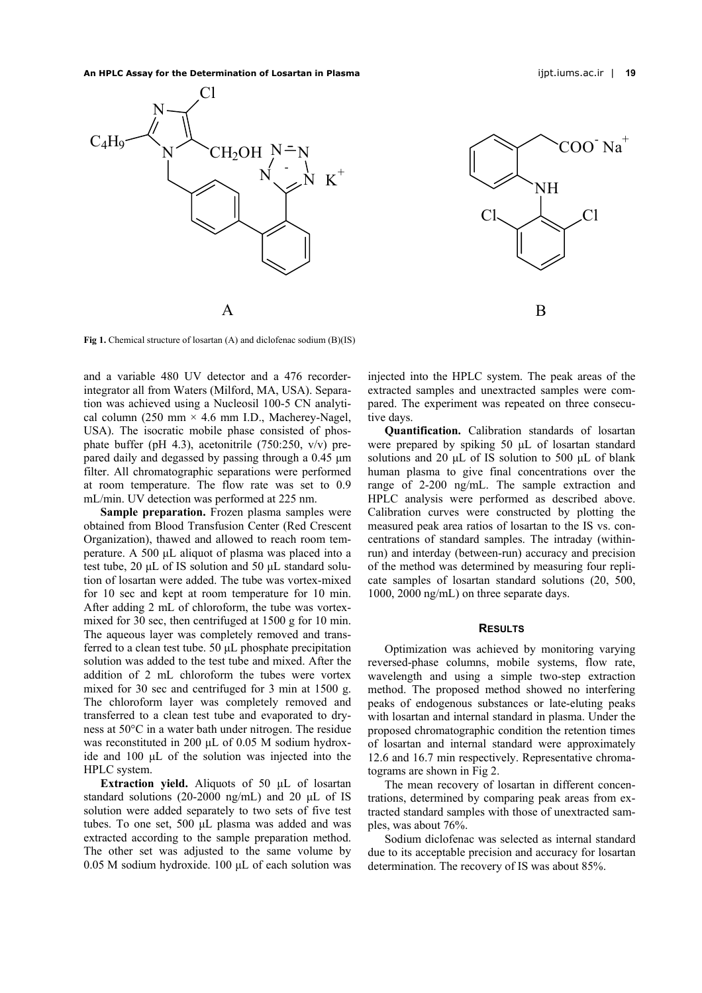**An HPLC Assay for the Determination of Losartan in Plasma** ijpt.iums.ac.ir | **19** 





<span id="page-1-0"></span>**Fig 1.** Chemical structure of losartan (A) and diclofenac sodium (B)(IS)

and a variable 480 UV detector and a 476 recorderintegrator all from Waters (Milford, MA, USA). Separation was achieved using a Nucleosil 100-5 CN analytical column (250 mm  $\times$  4.6 mm I.D., Macherey-Nagel, USA). The isocratic mobile phase consisted of phosphate buffer (pH 4.3), acetonitrile (750:250, v/v) prepared daily and degassed by passing through a 0.45 µm filter. All chromatographic separations were performed at room temperature. The flow rate was set to 0.9 mL/min. UV detection was performed at 225 nm.

**Sample preparation.** Frozen plasma samples were obtained from Blood Transfusion Center (Red Crescent Organization), thawed and allowed to reach room temperature. A 500 µL aliquot of plasma was placed into a test tube, 20 µL of IS solution and 50 µL standard solution of losartan were added. The tube was vortex-mixed for 10 sec and kept at room temperature for 10 min. After adding 2 mL of chloroform, the tube was vortexmixed for 30 sec, then centrifuged at 1500 g for 10 min. The aqueous layer was completely removed and transferred to a clean test tube. 50 µL phosphate precipitation solution was added to the test tube and mixed. After the addition of 2 mL chloroform the tubes were vortex mixed for 30 sec and centrifuged for 3 min at 1500 g. The chloroform layer was completely removed and transferred to a clean test tube and evaporated to dryness at 50°C in a water bath under nitrogen. The residue was reconstituted in 200 µL of 0.05 M sodium hydroxide and 100 µL of the solution was injected into the HPLC system.

**Extraction yield.** Aliquots of 50 µL of losartan stan dard solutions (20-2000 ng/mL) and 20 µL of IS solution were added separately to two sets of five test tubes. To one set, 500 uL plasma was added and was extracted according to the sample preparation method. The other set was adjusted to the same volume by 0.05 M sodium hydroxide. 100 µL of each solution was injected into the HPLC system. The peak areas of the extracted samples and unextracted samples were compared. The experiment was repeated on three consecutive days.

**Quantification.** Calibration standards of losartan were prepared by spiking 50 µL of losartan standard solutions and 20 µL of IS solution to 500 µL of blank human plasma to give final concentrations over the range of 2-200 ng/mL. The sample extraction and HPLC analysis were performed as described above. Calibration curves were constructed by plotting the measured peak area ratios of losartan to the IS vs. concentrations of standard samples. The intraday (withinrun) and interday (between-run) accuracy and precision of the method was determined by measuring four replicate samples of losartan standard solutions (20, 500, 1000, 2000 ng/mL) on three separate days.

#### **RESULTS**

Optimization was achieved by monitoring varying rev ersed-phase columns, mobile systems, flow rate, wavelength and using a simple two-step extraction method. The proposed method showed no interfering peaks of endogenous substances or late-eluting peaks with losartan and internal standard in plasma. Under the proposed chromatographic condition the retention times of losartan and internal standard were approximately 12.6 and 16.7 min respectively. Representative chromatograms are shown in [Fig 2.](#page-2-0)

The mean recovery of losartan in different concentrations, determined by comparing peak areas from extracted standard samples with those of unextracted samples, was about 76%.

Sodium diclofenac was selected as internal standard due to its acceptable precision and accuracy for losartan determination. The recovery of IS was about 85%.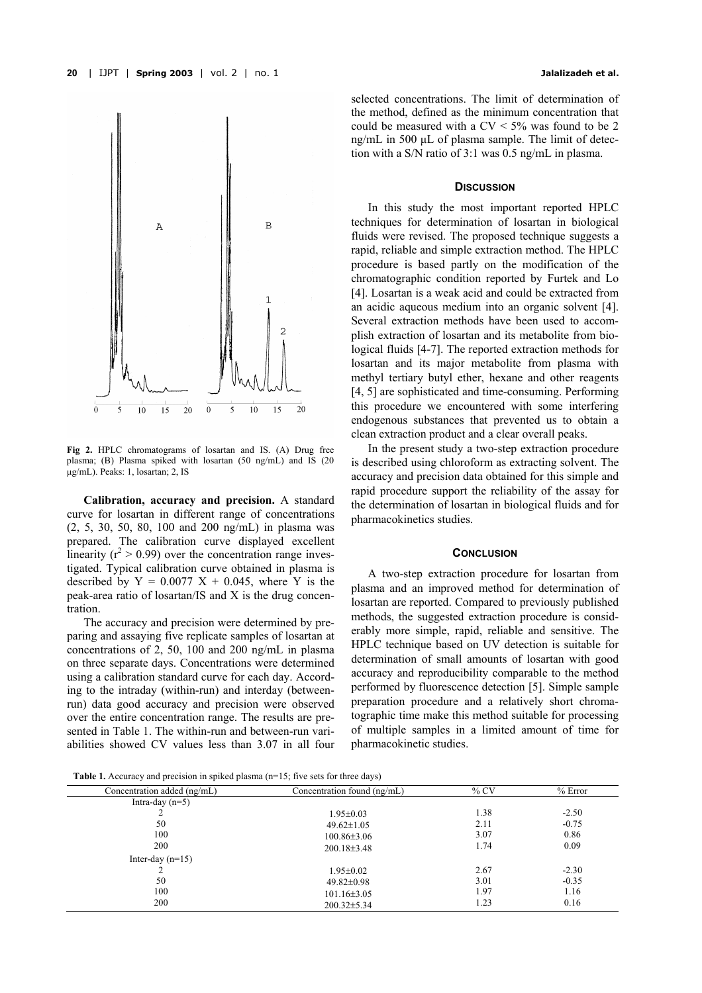

<span id="page-2-0"></span>**Fig 2.** HPLC chromatograms of losartan and IS. (A) Drug free plasma; (B) Plasma spiked with losartan (50 ng/mL) and IS (20 µg/mL). Peaks: 1, losartan; 2, IS

**Calibration, accuracy and precision.** A standard curve for losartan in different range of concentrations (2, 5, 30, 50, 80, 100 and 200 ng/mL) in plasma was prepared. The calibration curve displayed excellent linearity ( $r^2 > 0.99$ ) over the concentration range investigated. Typical calibration curve obtained in plasma is described by  $Y = 0.0077$   $X + 0.045$ , where Y is the peak-area ratio of losartan/IS and X is the drug concentration.

The accuracy and precision were determined by preparing and assaying five replicate samples of losartan at concentrations of 2, 50, 100 and 200 ng/mL in plasma on three separate days. Concentrations were determined using a calibration standard curve for each day. According to the intraday (within-run) and interday (betweenrun) data good accuracy and precision were observed over the entire concentration range. The results are presented in [Table 1.](#page-2-1) The within-run and between-run variabilities showed CV values less than 3.07 in all four selected concentrations. The limit of determination of the method, defined as the minimum concentration that could be measured with a  $CV < 5\%$  was found to be 2 ng/mL in 500 µL of plasma sample. The limit of detection with a S/N ratio of 3:1 was 0.5 ng/mL in plasma.

# **DISCUSSION**

In this study the most important reported HPLC techniques for determination of losartan in biological fluids were revised. The proposed technique suggests a rapid, reliable and simple extraction method. The HPLC procedure is based partly on the modification of the chromatographic condition reported by Furtek and Lo [4]. Losartan is a weak acid and could be extracted from an acidic aqueous medium into an organic solvent [4]. Several extraction methods have been used to accomplish extraction of losartan and its metabolite from biological fluids [4-7]. The reported extraction methods for losartan and its major metabolite from plasma with methyl tertiary butyl ether, hexane and other reagents [4, 5] are sophisticated and time-consuming. Performing this procedure we encountered with some interfering endogenous substances that prevented us to obtain a clean extraction product and a clear overall peaks.

In the present study a two-step extraction procedure is described using chloroform as extracting solvent. The accuracy and precision data obtained for this simple and rapid procedure support the reliability of the assay for the determination of losartan in biological fluids and for pharmacokinetics studies.

## **CONCLUSION**

A two-step extraction procedure for losartan from plasma and an improved method for determination of losartan are reported. Compared to previously published methods, the suggested extraction procedure is considerably more simple, rapid, reliable and sensitive. The HPLC technique based on UV detection is suitable for determination of small amounts of losartan with good accuracy and reproducibility comparable to the method performed by fluorescence detection [5]. Simple sample preparation procedure and a relatively short chromatographic time make this method suitable for processing of multiple samples in a limited amount of time for pharmacokinetic studies.

<span id="page-2-1"></span>**Table 1.** Accuracy and precision in spiked plasma (n=15; five sets for three days)

| Concentration added (ng/mL) | Concentration found (ng/mL) | $\%$ CV | $%$ Error |
|-----------------------------|-----------------------------|---------|-----------|
| Intra-day $(n=5)$           |                             |         |           |
|                             | $1.95 \pm 0.03$             | 1.38    | $-2.50$   |
| 50                          | $49.62 \pm 1.05$            | 2.11    | $-0.75$   |
| 100                         | $100.86 \pm 3.06$           | 3.07    | 0.86      |
| 200                         | $200.18 \pm 3.48$           | 1.74    | 0.09      |
| Inter-day $(n=15)$          |                             |         |           |
|                             | $1.95 \pm 0.02$             | 2.67    | $-2.30$   |
| 50                          | $49.82 \pm 0.98$            | 3.01    | $-0.35$   |
| 100                         | $101.16\pm3.05$             | 1.97    | 1.16      |
| 200                         | $200.32 \pm 5.34$           | 1.23    | 0.16      |